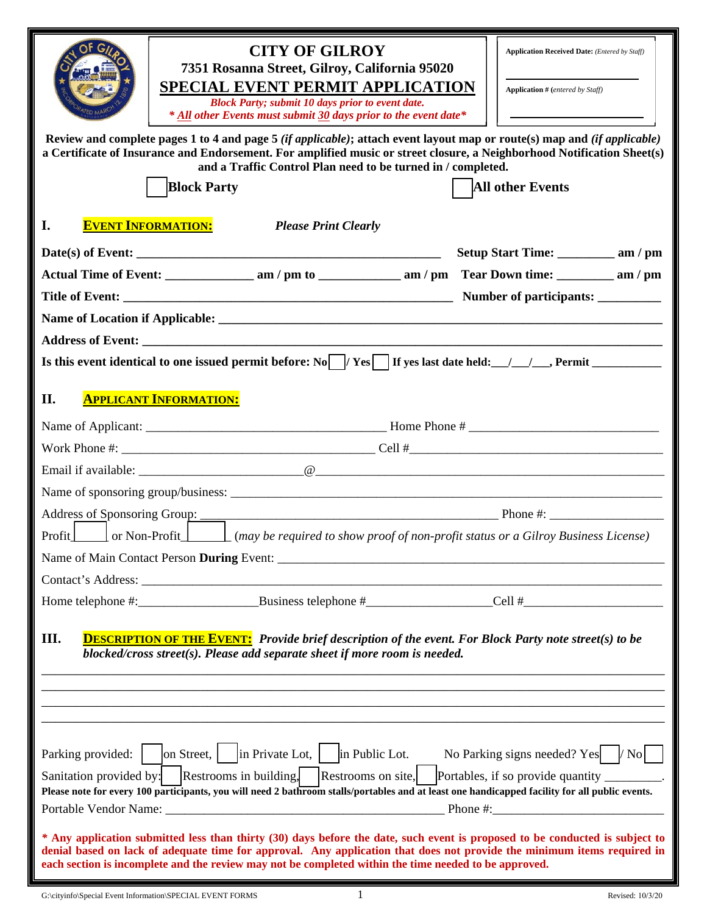|                                                                                                                                                                                                                                                                                                                                                                  | <b>CITY OF GILROY</b><br>7351 Rosanna Street, Gilroy, California 95020<br><b>SPECIAL EVENT PERMIT APPLICATION</b><br><b>Block Party; submit 10 days prior to event date.</b><br>* All other Events must submit 30 days prior to the event date*                                                                     | <b>Application Received Date:</b> (Entered by Staff)<br><b>Application</b> # (entered by Staff) |  |  |  |
|------------------------------------------------------------------------------------------------------------------------------------------------------------------------------------------------------------------------------------------------------------------------------------------------------------------------------------------------------------------|---------------------------------------------------------------------------------------------------------------------------------------------------------------------------------------------------------------------------------------------------------------------------------------------------------------------|-------------------------------------------------------------------------------------------------|--|--|--|
|                                                                                                                                                                                                                                                                                                                                                                  | Review and complete pages 1 to 4 and page 5 (if applicable); attach event layout map or route(s) map and (if applicable)<br>a Certificate of Insurance and Endorsement. For amplified music or street closure, a Neighborhood Notification Sheet(s)<br>and a Traffic Control Plan need to be turned in / completed. |                                                                                                 |  |  |  |
|                                                                                                                                                                                                                                                                                                                                                                  | <b>Block Party</b>                                                                                                                                                                                                                                                                                                  | <b>All other Events</b>                                                                         |  |  |  |
| I.                                                                                                                                                                                                                                                                                                                                                               | <b>EVENT INFORMATION:</b><br><b>Please Print Clearly</b>                                                                                                                                                                                                                                                            |                                                                                                 |  |  |  |
|                                                                                                                                                                                                                                                                                                                                                                  |                                                                                                                                                                                                                                                                                                                     |                                                                                                 |  |  |  |
|                                                                                                                                                                                                                                                                                                                                                                  |                                                                                                                                                                                                                                                                                                                     |                                                                                                 |  |  |  |
|                                                                                                                                                                                                                                                                                                                                                                  |                                                                                                                                                                                                                                                                                                                     |                                                                                                 |  |  |  |
|                                                                                                                                                                                                                                                                                                                                                                  |                                                                                                                                                                                                                                                                                                                     |                                                                                                 |  |  |  |
|                                                                                                                                                                                                                                                                                                                                                                  |                                                                                                                                                                                                                                                                                                                     |                                                                                                 |  |  |  |
|                                                                                                                                                                                                                                                                                                                                                                  |                                                                                                                                                                                                                                                                                                                     |                                                                                                 |  |  |  |
| II.                                                                                                                                                                                                                                                                                                                                                              | <b>APPLICANT INFORMATION:</b>                                                                                                                                                                                                                                                                                       |                                                                                                 |  |  |  |
|                                                                                                                                                                                                                                                                                                                                                                  |                                                                                                                                                                                                                                                                                                                     |                                                                                                 |  |  |  |
|                                                                                                                                                                                                                                                                                                                                                                  |                                                                                                                                                                                                                                                                                                                     |                                                                                                 |  |  |  |
|                                                                                                                                                                                                                                                                                                                                                                  |                                                                                                                                                                                                                                                                                                                     |                                                                                                 |  |  |  |
|                                                                                                                                                                                                                                                                                                                                                                  |                                                                                                                                                                                                                                                                                                                     |                                                                                                 |  |  |  |
|                                                                                                                                                                                                                                                                                                                                                                  |                                                                                                                                                                                                                                                                                                                     |                                                                                                 |  |  |  |
|                                                                                                                                                                                                                                                                                                                                                                  | Profit       or Non-Profit     (may be required to show proof of non-profit status or a Gilroy Business License)                                                                                                                                                                                                    |                                                                                                 |  |  |  |
|                                                                                                                                                                                                                                                                                                                                                                  | Name of Main Contact Person During Event:                                                                                                                                                                                                                                                                           |                                                                                                 |  |  |  |
|                                                                                                                                                                                                                                                                                                                                                                  |                                                                                                                                                                                                                                                                                                                     |                                                                                                 |  |  |  |
|                                                                                                                                                                                                                                                                                                                                                                  |                                                                                                                                                                                                                                                                                                                     |                                                                                                 |  |  |  |
| III.<br><b>DESCRIPTION OF THE EVENT:</b> Provide brief description of the event. For Block Party note street(s) to be<br>blocked/cross street(s). Please add separate sheet if more room is needed.                                                                                                                                                              |                                                                                                                                                                                                                                                                                                                     |                                                                                                 |  |  |  |
|                                                                                                                                                                                                                                                                                                                                                                  |                                                                                                                                                                                                                                                                                                                     |                                                                                                 |  |  |  |
|                                                                                                                                                                                                                                                                                                                                                                  |                                                                                                                                                                                                                                                                                                                     |                                                                                                 |  |  |  |
|                                                                                                                                                                                                                                                                                                                                                                  | Sanitation provided by: Restrooms in building. Restrooms on site, Portables, if so provide quantity _______.<br>Please note for every 100 participants, you will need 2 bathroom stalls/portables and at least one handicapped facility for all public events.                                                      | No Parking signs needed? Yes $ /$ No                                                            |  |  |  |
| * Any application submitted less than thirty (30) days before the date, such event is proposed to be conducted is subject to<br>denial based on lack of adequate time for approval. Any application that does not provide the minimum items required in<br>each section is incomplete and the review may not be completed within the time needed to be approved. |                                                                                                                                                                                                                                                                                                                     |                                                                                                 |  |  |  |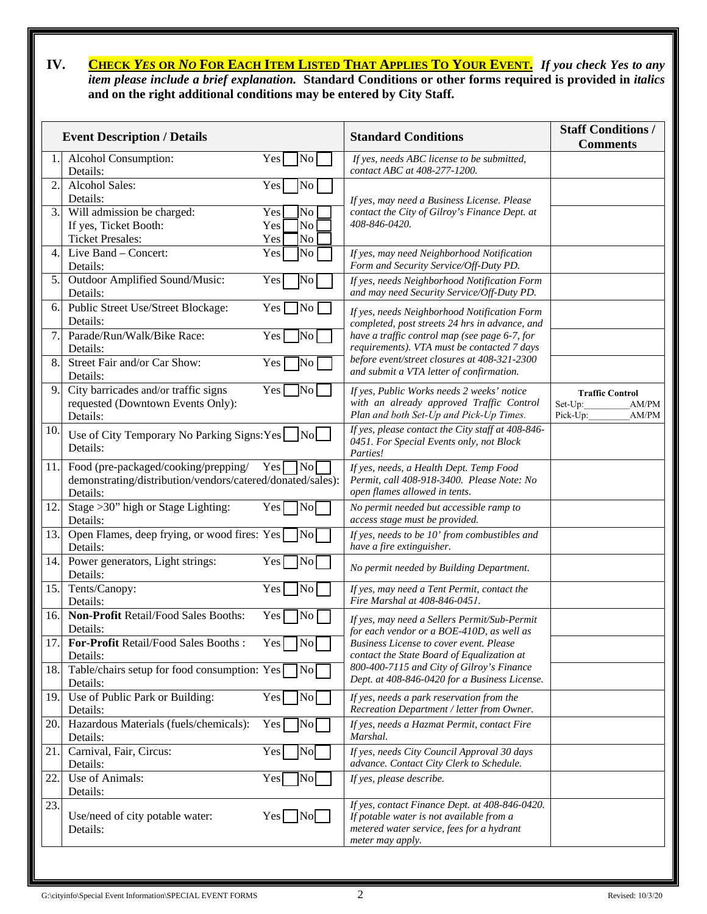# **IV. CHECK** *YES* **OR** *NO* **FOR EACH ITEM LISTED THAT APPLIES TO YOUR EVENT.** *If you check Yes to any item please include a brief explanation.* **Standard Conditions or other forms required is provided in** *italics* **and on the right additional conditions may be entered by City Staff.**

| <b>Event Description / Details</b> |                                                                                                                |                                                 | <b>Standard Conditions</b>                                                                                                                                  | <b>Staff Conditions /</b><br><b>Comments</b>                    |  |
|------------------------------------|----------------------------------------------------------------------------------------------------------------|-------------------------------------------------|-------------------------------------------------------------------------------------------------------------------------------------------------------------|-----------------------------------------------------------------|--|
|                                    | Alcohol Consumption:<br>Details:                                                                               | Yes<br>No.                                      | If yes, needs ABC license to be submitted,<br>contact ABC at 408-277-1200.                                                                                  |                                                                 |  |
| 2.                                 | Alcohol Sales:<br>Details:                                                                                     | Yes<br>No                                       | If yes, may need a Business License. Please                                                                                                                 |                                                                 |  |
| 3.                                 | Will admission be charged:<br>If yes, Ticket Booth:<br><b>Ticket Presales:</b>                                 | No<br>Yes<br>N <sub>o</sub><br>Yes<br>No<br>Yes | contact the City of Gilroy's Finance Dept. at<br>408-846-0420.                                                                                              |                                                                 |  |
| $\overline{4}$ .                   | Live Band - Concert:<br>Details:                                                                               | No<br>Yes                                       | If yes, may need Neighborhood Notification<br>Form and Security Service/Off-Duty PD.                                                                        |                                                                 |  |
| 5.                                 | Outdoor Amplified Sound/Music:<br>Details:                                                                     | Yes<br>N <sub>o</sub>                           | If yes, needs Neighborhood Notification Form<br>and may need Security Service/Off-Duty PD.                                                                  |                                                                 |  |
| 6.                                 | Public Street Use/Street Blockage:<br>Details:                                                                 | Yes  <br>$\overline{\text{No}}$                 | If yes, needs Neighborhood Notification Form<br>completed, post streets 24 hrs in advance, and                                                              |                                                                 |  |
| 7.                                 | Parade/Run/Walk/Bike Race:<br>Details:                                                                         | Yes  <br>$\overline{\text{No}}$                 | have a traffic control map (see page 6-7, for<br>requirements). VTA must be contacted 7 days                                                                |                                                                 |  |
| 8.                                 | Street Fair and/or Car Show:<br>Details:                                                                       | Yes<br>No                                       | before event/street closures at 408-321-2300<br>and submit a VTA letter of confirmation.                                                                    |                                                                 |  |
| 9                                  | City barricades and/or traffic signs<br>requested (Downtown Events Only):<br>Details:                          | Yes<br>No I                                     | If yes, Public Works needs 2 weeks' notice<br>with an already approved Traffic Control<br>Plan and both Set-Up and Pick-Up Times.                           | <b>Traffic Control</b><br>AM/PM<br>Set-Up:<br>Pick-Up:<br>AM/PM |  |
| 10.                                | Use of City Temporary No Parking Signs: Yes<br>Details:                                                        | No                                              | If yes, please contact the City staff at 408-846-<br>0451. For Special Events only, not Block<br>Parties!                                                   |                                                                 |  |
| 11.                                | Food (pre-packaged/cooking/prepping/<br>demonstrating/distribution/vendors/catered/donated/sales):<br>Details: | Yes<br> No                                      | If yes, needs, a Health Dept. Temp Food<br>Permit, call 408-918-3400. Please Note: No<br>open flames allowed in tents.                                      |                                                                 |  |
| 12.                                | Stage > 30" high or Stage Lighting:<br>Details:                                                                | Yes<br>No                                       | No permit needed but accessible ramp to<br>access stage must be provided.                                                                                   |                                                                 |  |
| 13.                                | Open Flames, deep frying, or wood fires: Yes<br>Details:                                                       | No                                              | If yes, needs to be 10' from combustibles and<br>have a fire extinguisher.                                                                                  |                                                                 |  |
|                                    | 14. Power generators, Light strings:<br>Details:                                                               | Yes<br>N <sub>o</sub>                           | No permit needed by Building Department.                                                                                                                    |                                                                 |  |
| 15.                                | Tents/Canopy:<br>Details:                                                                                      | Yes<br>N <sub>o</sub>                           | If yes, may need a Tent Permit, contact the<br>Fire Marshal at 408-846-0451.                                                                                |                                                                 |  |
| 16.                                | Non-Profit Retail/Food Sales Booths:<br>Details:                                                               | Yes<br>No                                       | If yes, may need a Sellers Permit/Sub-Permit<br>for each vendor or a BOE-410D, as well as                                                                   |                                                                 |  |
| 17.1                               | <b>For-Profit Retail/Food Sales Booths:</b><br>Details:                                                        | Yes<br> No                                      | Business License to cover event. Please<br>contact the State Board of Equalization at                                                                       |                                                                 |  |
| 18.                                | Table/chairs setup for food consumption: Yes<br>Details:                                                       | $\overline{N}$ o                                | 800-400-7115 and City of Gilroy's Finance<br>Dept. at 408-846-0420 for a Business License.                                                                  |                                                                 |  |
| 19.                                | Use of Public Park or Building:<br>Details:                                                                    | Yes<br>No                                       | If yes, needs a park reservation from the<br>Recreation Department / letter from Owner.                                                                     |                                                                 |  |
| 20.                                | Hazardous Materials (fuels/chemicals):<br>Details:                                                             | Yes<br> No                                      | If yes, needs a Hazmat Permit, contact Fire<br>Marshal.                                                                                                     |                                                                 |  |
| 21.                                | Carnival, Fair, Circus:<br>Details:                                                                            | Yes<br>N <sub>o</sub>                           | If yes, needs City Council Approval 30 days<br>advance. Contact City Clerk to Schedule.                                                                     |                                                                 |  |
| 22.                                | Use of Animals:<br>Details:                                                                                    | No<br>Yes                                       | If yes, please describe.                                                                                                                                    |                                                                 |  |
| 23.                                | Use/need of city potable water:<br>Details:                                                                    | $Yes \Box No$                                   | If yes, contact Finance Dept. at 408-846-0420.<br>If potable water is not available from a<br>metered water service, fees for a hydrant<br>meter may apply. |                                                                 |  |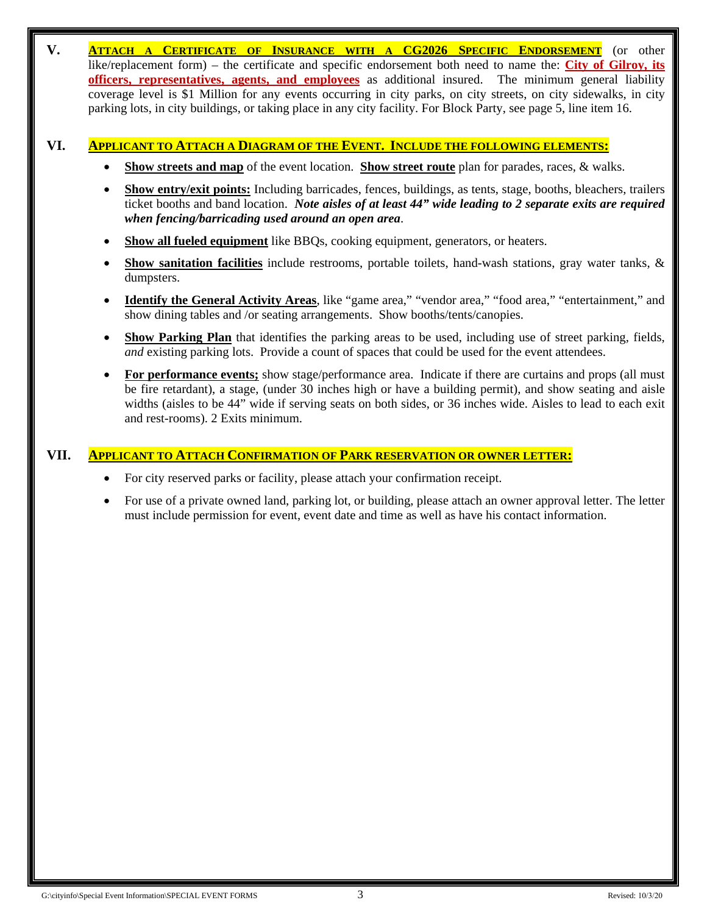**V. ATTACH A CERTIFICATE OF INSURANCE WITH A CG2026 SPECIFIC ENDORSEMENT** (or other like/replacement form) – the certificate and specific endorsement both need to name the: **City of Gilroy, its officers, representatives, agents, and employees** as additional insured. The minimum general liability coverage level is \$1 Million for any events occurring in city parks, on city streets, on city sidewalks, in city parking lots, in city buildings, or taking place in any city facility. For Block Party, see page 5, line item 16.

# **VI. APPLICANT TO ATTACH A DIAGRAM OF THE EVENT. INCLUDE THE FOLLOWING ELEMENTS:**

- **Show** *s***treets and map** of the event location. **Show street route** plan for parades, races, & walks.
- **Show entry/exit points:** Including barricades, fences, buildings, as tents, stage, booths, bleachers, trailers ticket booths and band location. *Note aisles of at least 44" wide leading to 2 separate exits are required when fencing/barricading used around an open area*.
- **Show all fueled equipment** like BBQs, cooking equipment, generators, or heaters.
- **Show sanitation facilities** include restrooms, portable toilets, hand-wash stations, gray water tanks, & dumpsters.
- **Identify the General Activity Areas**, like "game area," "vendor area," "food area," "entertainment," and show dining tables and /or seating arrangements. Show booths/tents/canopies.
- **Show Parking Plan** that identifies the parking areas to be used, including use of street parking, fields, *and* existing parking lots. Provide a count of spaces that could be used for the event attendees.
- **For performance events;** show stage/performance area. Indicate if there are curtains and props (all must be fire retardant), a stage, (under 30 inches high or have a building permit), and show seating and aisle widths (aisles to be 44" wide if serving seats on both sides, or 36 inches wide. Aisles to lead to each exit and rest-rooms). 2 Exits minimum.

# **VII. APPLICANT TO ATTACH CONFIRMATION OF PARK RESERVATION OR OWNER LETTER:**

- For city reserved parks or facility, please attach your confirmation receipt.
- For use of a private owned land, parking lot, or building, please attach an owner approval letter. The letter must include permission for event, event date and time as well as have his contact information.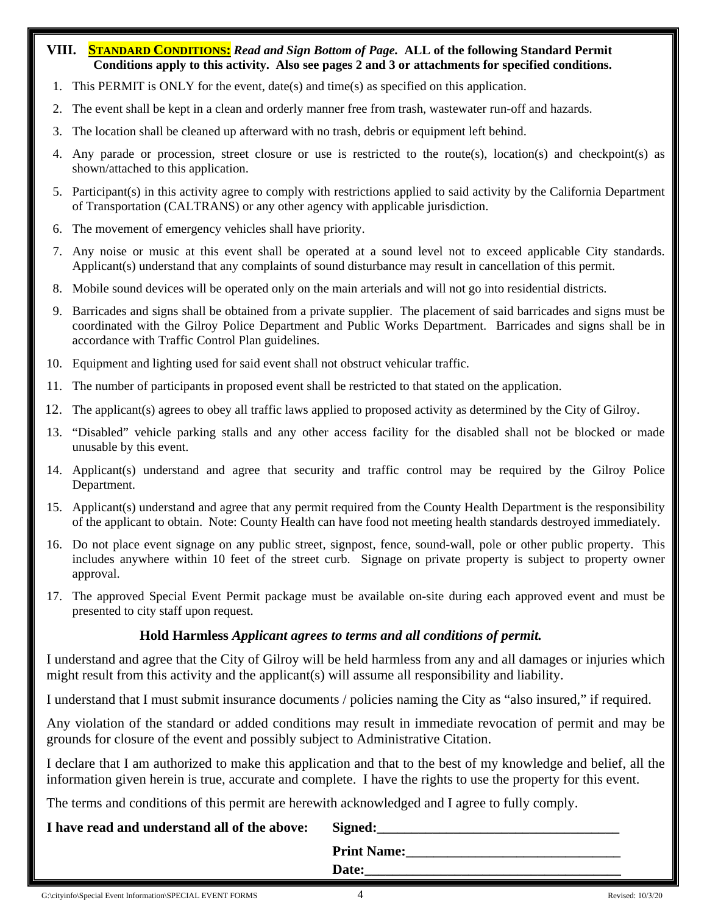# **VIII. STANDARD CONDITIONS:** *Read and Sign Bottom of Page.* **ALL of the following Standard Permit Conditions apply to this activity. Also see pages 2 and 3 or attachments for specified conditions.**

- 1. This PERMIT is ONLY for the event, date(s) and time(s) as specified on this application.
- 2. The event shall be kept in a clean and orderly manner free from trash, wastewater run-off and hazards.
- 3. The location shall be cleaned up afterward with no trash, debris or equipment left behind.
- 4. Any parade or procession, street closure or use is restricted to the route(s), location(s) and checkpoint(s) as shown/attached to this application.
- 5. Participant(s) in this activity agree to comply with restrictions applied to said activity by the California Department of Transportation (CALTRANS) or any other agency with applicable jurisdiction.
- 6. The movement of emergency vehicles shall have priority.
- 7. Any noise or music at this event shall be operated at a sound level not to exceed applicable City standards. Applicant(s) understand that any complaints of sound disturbance may result in cancellation of this permit.
- 8. Mobile sound devices will be operated only on the main arterials and will not go into residential districts.
- 9. Barricades and signs shall be obtained from a private supplier. The placement of said barricades and signs must be coordinated with the Gilroy Police Department and Public Works Department. Barricades and signs shall be in accordance with Traffic Control Plan guidelines.
- 10. Equipment and lighting used for said event shall not obstruct vehicular traffic.
- 11. The number of participants in proposed event shall be restricted to that stated on the application.
- 12. The applicant(s) agrees to obey all traffic laws applied to proposed activity as determined by the City of Gilroy.
- 13. "Disabled" vehicle parking stalls and any other access facility for the disabled shall not be blocked or made unusable by this event.
- 14. Applicant(s) understand and agree that security and traffic control may be required by the Gilroy Police Department.
- 15. Applicant(s) understand and agree that any permit required from the County Health Department is the responsibility of the applicant to obtain. Note: County Health can have food not meeting health standards destroyed immediately.
- 16. Do not place event signage on any public street, signpost, fence, sound-wall, pole or other public property. This includes anywhere within 10 feet of the street curb. Signage on private property is subject to property owner approval.
- 17. The approved Special Event Permit package must be available on-site during each approved event and must be presented to city staff upon request.

# **Hold Harmless** *Applicant agrees to terms and all conditions of permit.*

I understand and agree that the City of Gilroy will be held harmless from any and all damages or injuries which might result from this activity and the applicant(s) will assume all responsibility and liability.

I understand that I must submit insurance documents / policies naming the City as "also insured," if required.

Any violation of the standard or added conditions may result in immediate revocation of permit and may be grounds for closure of the event and possibly subject to Administrative Citation.

I declare that I am authorized to make this application and that to the best of my knowledge and belief, all the information given herein is true, accurate and complete. I have the rights to use the property for this event.

The terms and conditions of this permit are herewith acknowledged and I agree to fully comply.

# **I** have read and understand all of the above: Signed:

| ຼ                  |  |
|--------------------|--|
| <b>Print Name:</b> |  |
| Date:              |  |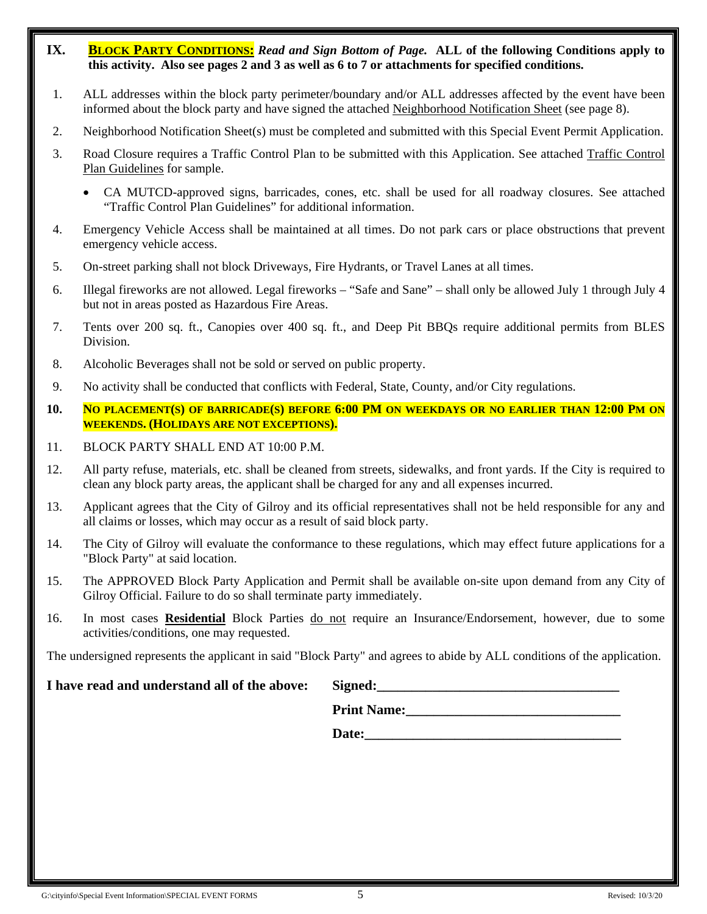- **IX. BLOCK PARTY CONDITIONS:** *Read and Sign Bottom of Page.* **ALL of the following Conditions apply to this activity. Also see pages 2 and 3 as well as 6 to 7 or attachments for specified conditions.**
- 1. ALL addresses within the block party perimeter/boundary and/or ALL addresses affected by the event have been informed about the block party and have signed the attached Neighborhood Notification Sheet (see page 8).
- 2. Neighborhood Notification Sheet(s) must be completed and submitted with this Special Event Permit Application.
- 3. Road Closure requires a Traffic Control Plan to be submitted with this Application. See attached Traffic Control Plan Guidelines for sample.
	- CA MUTCD-approved signs, barricades, cones, etc. shall be used for all roadway closures. See attached "Traffic Control Plan Guidelines" for additional information.
- 4. Emergency Vehicle Access shall be maintained at all times. Do not park cars or place obstructions that prevent emergency vehicle access.
- 5. On-street parking shall not block Driveways, Fire Hydrants, or Travel Lanes at all times.
- 6. Illegal fireworks are not allowed. Legal fireworks "Safe and Sane" shall only be allowed July 1 through July 4 but not in areas posted as Hazardous Fire Areas.
- 7. Tents over 200 sq. ft., Canopies over 400 sq. ft., and Deep Pit BBQs require additional permits from BLES Division.
- 8. Alcoholic Beverages shall not be sold or served on public property.
- 9. No activity shall be conducted that conflicts with Federal, State, County, and/or City regulations.
- **10. NO PLACEMENT(S) OF BARRICADE(S) BEFORE 6:00 PM ON WEEKDAYS OR NO EARLIER THAN 12:00 PM ON WEEKENDS. (HOLIDAYS ARE NOT EXCEPTIONS).**
- 11. BLOCK PARTY SHALL END AT 10:00 P.M.
- 12. All party refuse, materials, etc. shall be cleaned from streets, sidewalks, and front yards. If the City is required to clean any block party areas, the applicant shall be charged for any and all expenses incurred.
- 13. Applicant agrees that the City of Gilroy and its official representatives shall not be held responsible for any and all claims or losses, which may occur as a result of said block party.
- 14. The City of Gilroy will evaluate the conformance to these regulations, which may effect future applications for a "Block Party" at said location.
- 15. The APPROVED Block Party Application and Permit shall be available on-site upon demand from any City of Gilroy Official. Failure to do so shall terminate party immediately.
- 16. In most cases **Residential** Block Parties do not require an Insurance/Endorsement, however, due to some activities/conditions, one may requested.

The undersigned represents the applicant in said "Block Party" and agrees to abide by ALL conditions of the application.

# **I** have read and understand all of the above: Signed:

| Signed:            |  |  |
|--------------------|--|--|
| <b>Print Name:</b> |  |  |

Date: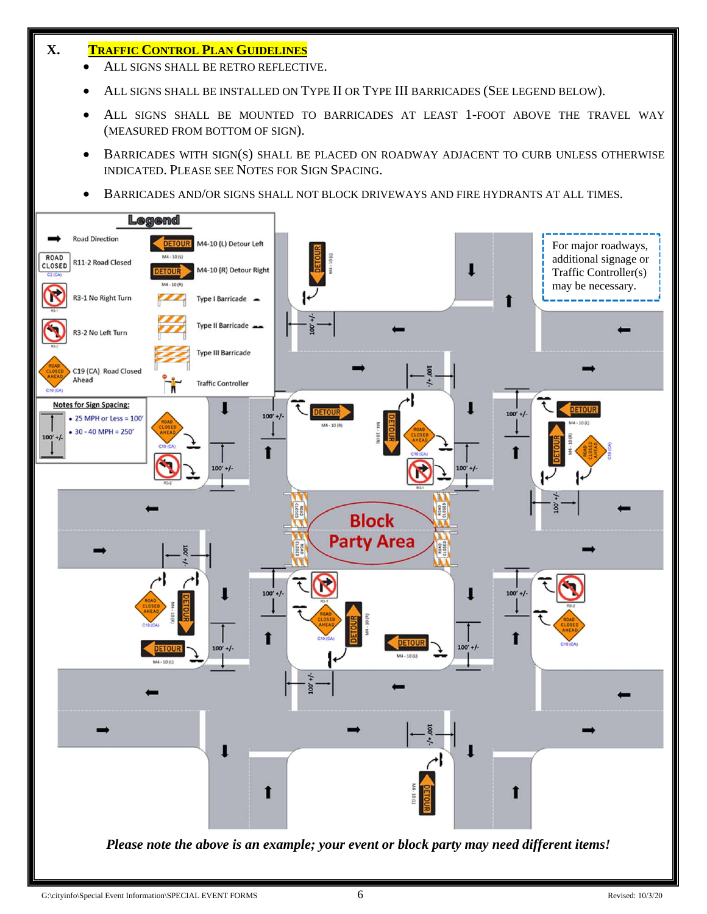# **X. TRAFFIC CONTROL PLAN GUIDELINES**

- ALL SIGNS SHALL BE RETRO REFLECTIVE.
- ALL SIGNS SHALL BE INSTALLED ON TYPE II OR TYPE III BARRICADES (SEE LEGEND BELOW).
- ALL SIGNS SHALL BE MOUNTED TO BARRICADES AT LEAST 1-FOOT ABOVE THE TRAVEL WAY (MEASURED FROM BOTTOM OF SIGN).
- BARRICADES WITH SIGN(S) SHALL BE PLACED ON ROADWAY ADJACENT TO CURB UNLESS OTHERWISE INDICATED. PLEASE SEE NOTES FOR SIGN SPACING.
- BARRICADES AND/OR SIGNS SHALL NOT BLOCK DRIVEWAYS AND FIRE HYDRANTS AT ALL TIMES.

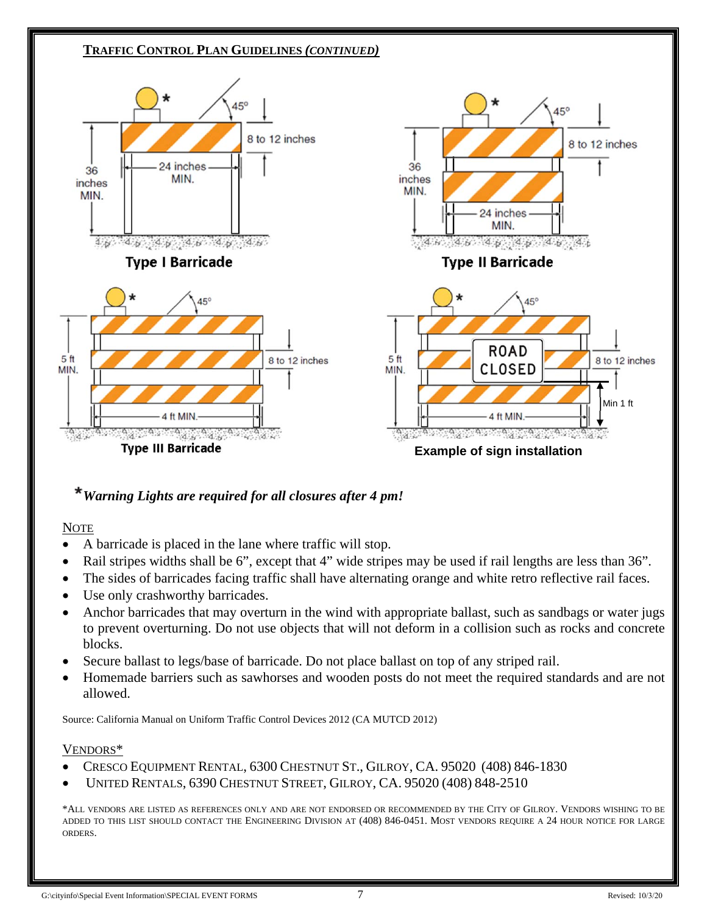

# *Warning Lights are required for all closures after 4 pm!*

# NOTE

- A barricade is placed in the lane where traffic will stop.
- Rail stripes widths shall be 6", except that 4" wide stripes may be used if rail lengths are less than 36".
- The sides of barricades facing traffic shall have alternating orange and white retro reflective rail faces.
- Use only crashworthy barricades.
- Anchor barricades that may overturn in the wind with appropriate ballast, such as sandbags or water jugs to prevent overturning. Do not use objects that will not deform in a collision such as rocks and concrete blocks.
- Secure ballast to legs/base of barricade. Do not place ballast on top of any striped rail.
- Homemade barriers such as sawhorses and wooden posts do not meet the required standards and are not allowed.

Source: California Manual on Uniform Traffic Control Devices 2012 (CA MUTCD 2012)

# VENDORS\*

- CRESCO EQUIPMENT RENTAL, 6300 CHESTNUT ST., GILROY, CA. 95020 (408) 846-1830
- UNITED RENTALS, 6390 CHESTNUT STREET, GILROY, CA. 95020 (408) 848-2510

\*ALL VENDORS ARE LISTED AS REFERENCES ONLY AND ARE NOT ENDORSED OR RECOMMENDED BY THE CITY OF GILROY. VENDORS WISHING TO BE ADDED TO THIS LIST SHOULD CONTACT THE ENGINEERING DIVISION AT (408) 846-0451. MOST VENDORS REQUIRE A 24 HOUR NOTICE FOR LARGE ORDERS.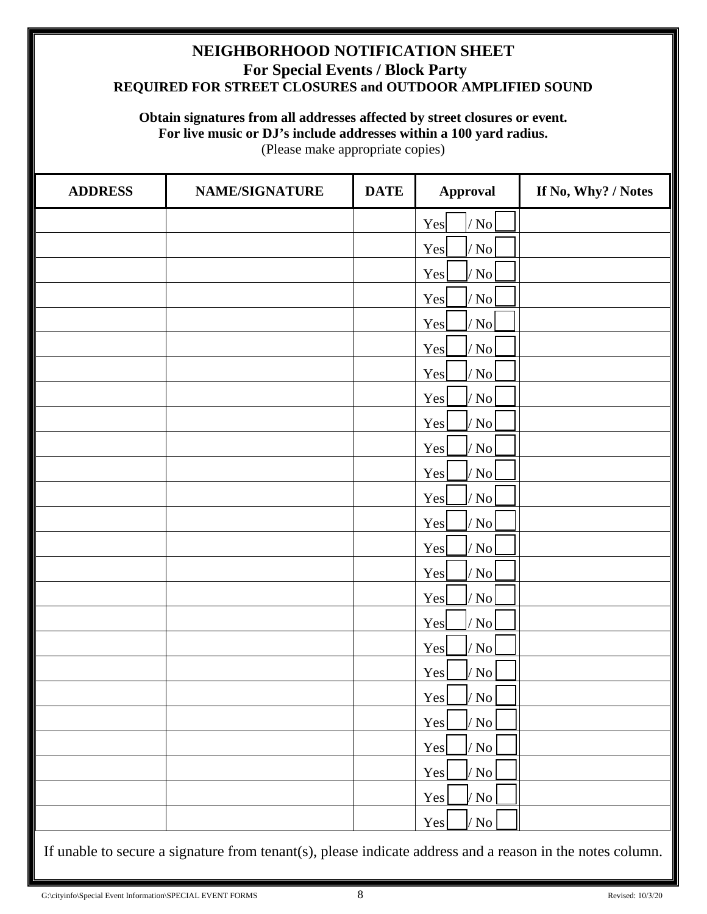# **NEIGHBORHOOD NOTIFICATION SHEET For Special Events / Block Party REQUIRED FOR STREET CLOSURES and OUTDOOR AMPLIFIED SOUND**

# **Obtain signatures from all addresses affected by street closures or event. For live music or DJ's include addresses within a 100 yard radius.**

(Please make appropriate copies)

| <b>ADDRESS</b> | <b>NAME/SIGNATURE</b> | <b>DATE</b> | <b>Approval</b>              | If No, Why? / Notes |
|----------------|-----------------------|-------------|------------------------------|---------------------|
|                |                       |             | Yes<br>$/$ No $ $            |                     |
|                |                       |             | $\sqrt{N_0}$<br>Yes          |                     |
|                |                       |             | Yes<br>$\sqrt{}$ No          |                     |
|                |                       |             | Yes<br>$\sqrt{N_0}$          |                     |
|                |                       |             | $\sqrt{N_0}$<br>Yes          |                     |
|                |                       |             | Yes<br>$/\sqrt{\mathrm{No}}$ |                     |
|                |                       |             | $\sqrt{N_0}$<br>Yes          |                     |
|                |                       |             | Yes<br>$\sqrt{}$ No          |                     |
|                |                       |             | $\sqrt{N_0}$<br>Yes          |                     |
|                |                       |             | $\sqrt{}$ No<br>Yes          |                     |
|                |                       |             | Yes<br>$\sqrt{\rm ~No}$      |                     |
|                |                       |             | Yes<br>$\sqrt{N_0}$          |                     |
|                |                       |             | Yes<br>$\sqrt{N_0}$          |                     |
|                |                       |             | $\sqrt{N_0}$<br>Yes          |                     |
|                |                       |             | $\sqrt{N_0}$<br>Yes          |                     |
|                |                       |             | Yes<br>$\sqrt{N_0}$          |                     |
|                |                       |             | $\sqrt{N_0}$<br>Yes          |                     |
|                |                       |             | Yes<br>$\sqrt{}$ No          |                     |
|                |                       |             | Yes<br>$\sqrt{}$ No          |                     |
|                |                       |             | Yes<br>$/$ No                |                     |
|                |                       |             | Yes<br>$/$ No                |                     |
|                |                       |             | $\sqrt{}$ No<br>Yes          |                     |
|                |                       |             | Yes<br>$\sqrt{}$ No          |                     |
|                |                       |             | Yes<br>$\sqrt{}$ No          |                     |
|                |                       |             | Yes<br>$\sqrt{}$ No          |                     |